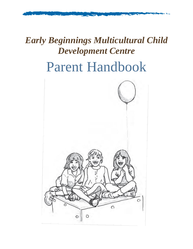# *Early Beginnings Multicultural Child Development Centre* Parent Handbook

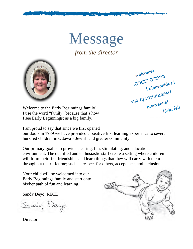Message

*from the director*



welcome! Welcome<br>10" N2" D"21"  $\frac{17}{10}$  D'31<sup>-1</sup> M<sub>Mbl</sub> IIpur<sub>Jialliaem!</sub> bienvenue! hivja fell

Welcome to the Early Beginnings family! I use the word "family" because that's how I see Early Beginnings; as a big family.

I am proud to say that since we first opened

our doors in 1989 we have provided a positive first learning experience to several hundred children in Ottawa's Jewish and greater community.

Our primary goal is to provide a caring, fun, stimulating, and educational environment. The qualified and enthusiastic staff create a setting where children will form their first friendships and learn things that they will carry with them throughout their lifetime; such as respect for others, acceptance, and inclusion.

Your child will be welcomed into our Early Beginnings family and start onto his/her path of fun and learning.

Sandy Deyo, RECE

Sandy Deep



**Director**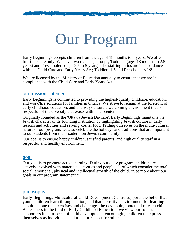# Our Program

Early Beginnings accepts children from the age of 18 months to 5 years. We offer full-time care only. We have two main age groups; Toddlers (ages 18 months to 2.5 years) and Preschoolers (ages 2.5 to 5 years). The staffing ratios are in accordance with the Child Care and Early Years Act; Toddlers 1:5 and Preschoolers 1:8.

We are licensed by the Ministry of Education annually to ensure that we are in compliance with the Child Care and Early Years Act.

#### our mission statement

Early Beginnings is committed to providing the highest-quality childcare, education, and work/life solutions for families in Ottawa. We strive to remain at the forefront of early childhood education, and to always ensure a welcoming environment that is respectful of the diversity that exists within our center.

Originally founded as the 'Ottawa Jewish Daycare', Early Beginnings maintains the Jewish character of its founding institution by highlighting Jewish culture in daily lessons and activities and serving kosher food. Priding ourselves on the multi-cultural nature of our program, we also celebrate the holidays and traditions that are important to our students from the broader, non-Jewish community.

Our goal is to ensure happy children, satisfied parents, and high quality staff in a respectful and healthy environment.

#### goal

Our goal is to promote active learning. During our daily program, children are actively involved with materials, activities and people, all of which consider the total social, emotional, physical and intellectual growth of the child. \*See more about our goals in our program statement.\*

#### philosophy

Early Beginnings Multicultural Child Development Centre supports the belief that young children learn through action, and that a positive environment for learning should be one that exercises and challenges the developing potential of each child. As teachers in the field of Early Childhood Education, we view our role as supporters in all aspects of child development, encouraging children to express themselves as individuals and to learn respect for others.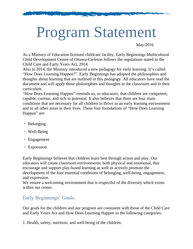# Program Statement

May/2016

As a Ministry of Education licensed childcare facility, Early Beginnings Multicultural Child Development Centre of Ottawa-Carleton follows the regulations stated in the Child Care and Early Years Act, 2014.

Also in 2014, the Ministry introduced a new pedagogy for early learning. It's called "How Does Learning Happen?". Early Beginnings has adopted the philosophies and thoughts about learning that are outlined in this pedagogy. All educators have read the document and will apply those philosophies and thoughts in the classroom and to their curriculum.

"How Does Learning Happen" reminds us, as educators, that children are competent, capable, curious, and rich in potential. It also believes that there are four main conditions that are necessary for all children to thrive in an early learning environment and in all other areas in their lives. These four foundations of "How Does Learning Happen" are:

- Belonging
- Well-Being
- Engagement
- Expression

Early Beginnings believes that children learn best through action and play. Our educators will create classroom environments, both physical and emotional, that encourage and support play-based learning as well as actively promote the development of the four essential conditions of belonging, well-being, engagement, and expression.

We ensure a welcoming environment that is respectful of the diversity which exists within our center.

# Early Beginnings' Goals:

Our goals for the children and our program are consistent with those of the Child Care and Early Years Act and How Does Learning Happen in the following categories:

1. Health, safety, nutrition, and well-being of the children: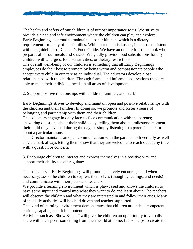

The health and safety of our children is of utmost importance to us. We strive to provide a clean and safe environment where the children can play and explore. Early Beginnings is proud to maintain a kosher kitchen, which is a dietary requirement for many of our families. While our menu is kosher, it is also consistent with the guidelines of Canada's Food Guide. We have an on-site full-time cook who prepares all of our meals and snacks. We gladly provide food substitutions for any children with allergies, food sensitivities, or dietary restrictions. The overall well-being of our children is something that all Early Beginnings employees do their best to promote by being warm and compassionate people who accept every child in our care as an individual. The educators develop close relationships with the children. Through formal and informal observations they are able to meet their individual needs in all areas of development.

2. Support positive relationships with children, families, and staff:

Early Beginnings strives to develop and maintain open and positive relationships with the children and their families. In doing so, we promote and foster a sense of belonging and partnership with them and their children.

The educators engage in daily face-to-face communication with the parents; answering questions about their child's day, telling them about a milestone moment their child may have had during the day, or simply listening to a parent's concern about a particular issue.

The Director maintains an open communication with the parents both verbally as well as via email, always letting them know that they are welcome to reach out at any time with a question or concern.

3. Encourage children to interact and express themselves in a positive way and support their ability to self-regulate:

The educators at Early Beginnings will promote, actively encourage, and when necessary, assist the children to express themselves (thoughts, feelings, and needs) and communicate with their peers and teachers.

We provide a learning environment which is play-based and allows the children to have some input and control into what they want to do and learn about. The teachers will observe the children and what they are interested in and follow their cues. Many of the daily activities will be child driven and teacher supported.

This kind of learning environment demonstrates that children are indeed competent, curious, capable, and rich in potential.

Activities such as "Show & Tell" will give the children an opportunity to verbally share with their peers something from their world at home. It also helps to create the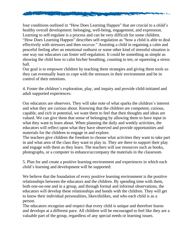

four conditions outlined in "How Does Learning Happen" that are crucial to a child's healthy overall development: belonging, well-being, engagement, and expression. Learning to self-regulate is a process and can be very difficult for some children. "How Does Learning Happen" describes self-regulation as "how a child is able to deal effectively with stressors and then recover." Assisting a child in regaining a calm and peaceful feeling after an emotional outburst or some other kind of stressful situation is one way our educators can foster self-regulation. It could be something as simple as showing the child how to calm his/her breathing, counting to ten, or squeezing a stress ball.

Our goal is to empower children by teaching them strategies and giving them tools so they can eventually learn to cope with the stressors in their environment and be in control of their emotions.

4. Foster the children's exploration, play, and inquiry and provide child-initiated and adult supported experiences:

Our educators are observers. They will take note of what sparks the children's interest and what they are curious about. Knowing that the children are competent, curious, capable, and rich in potential, we want them to feel that their thoughts and ideas are valued. We can give them that sense of belonging by allowing them to have input in what they want to learn about. When planning the daily and weekly activities, the educators will reflect upon what they have observed and provide opportunities and materials for the children to engage in and explore.

The teachers give children the freedom to choose what activities they want to take part in and what area of the class they want to play in. They are there to support their play and engage with them as they learn. The teachers will use resources such as books, photographs, or a computer to enhance/accompany the materials in the classroom.

5. Plan for and create a positive learning environment and experiences in which each child's learning and development will be supported:

We believe that the foundation of every positive learning environment is the positive relationships between the educators and the children. By spending time with them, both one-on-one and in a group, and through formal and informal observations, the educators will develop these relationships and bonds with the children. They will get to know their individual personalities, likes/dislikes, and who each child is as a person.

The educators recognize and respect that every child is unique and therefore learns and develops at a different pace. All children will be encouraged to feel like they are a valuable part of the group, regardless of any special needs or learning issues.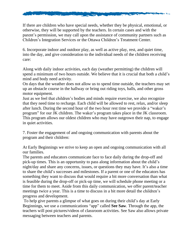

If there are children who have special needs, whether they be physical, emotional, or otherwise, they will be supported by the teachers. In certain cases and with the parent's permission, we may call upon the assistance of community partners such as Children's Integration Services or the Ottawa Children's Treatment Center.

6. Incorporate indoor and outdoor play, as well as active play, rest, and quiet time, into the day, and give consideration to the individual needs of the children receiving care:

Along with daily indoor activities, each day (weather permitting) the children will spend a minimum of two hours outside. We believe that it is crucial that both a child's mind and body need activity.

On days that the weather does not allow us to spend time outside, the teachers may set up an obstacle course in the hallway or bring out riding toys, balls, and other gross motor equipment.

Just as we feel that children's bodies and minds require exercise, we also recognize that they need time to recharge. Each child will be allowed to rest, relax, and/or sleep after lunch. During the second hour of the two hour rest time we provide a "waker's program" for our JK children. The waker's program takes place in the JK classroom. This program allows our oldest children who may have outgrown their nap, to engage in quiet activities.

7. Foster the engagement of and ongoing communication with parents about the program and their children:

At Early Beginnings we strive to keep an open and ongoing communication with all our families.

The parents and educators communicate face to face daily during the drop-off and pick-up times. This is an opportunity to pass along information about the child's night/day and share any concerns, issues, or questions they may have. It's also a time to share the child's successes and milestones. If a parent or one of the educators has something they want to discuss that would require a bit more conversation than what is feasible during the drop-off or pick-up time, we will schedule phone meeting or a time for them to meet. Aside from this daily communication, we offer parent/teacher meetings twice a year. This is a time to discuss in a bit more detail the children's progress and development.

To help give parents a glimpse of what goes on during their child's day at Early Beginnings, we use a communications "app" called **See Saw**. Through the app, the teachers will post pictures/videos of classroom activities. See Saw also allows private messaging between teachers and parents.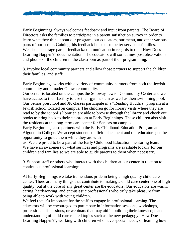

Early Beginnings always welcomes feedback and input from parents. The Board of Directors asks the families to participate in a parent satisfaction survey in order to learn what they think about our program, our educators, our menu, and other various parts of our center. Gaining this feedback helps us to better serve our families. We also encourage parent feedback/communication in regards to our "How Does Learning Happen?" documentation. The educators will sometimes post observations and photos of the children in the classroom as part of their programming.

8. Involve local community partners and allow those partners to support the children, their families, and staff:

Early Beginnings works with a variety of community partners from both the Jewish community and broader Ottawa community.

Our center is located on the campus the Soloway Jewish Community Center and we have access to their facility to use their gymnasium as well as their swimming pool. Our Senior preschool and JK classes participate in a "Reading Buddies" program at a Jewish school located on campus. The children go for library visits where they are read to by the school's librarian are able to browse through the library and check out books to bring back to their classroom at Early Beginnings. These children also visit the residents at the long-term care center for Seniors on campus.

Early Beginnings also partners with the Early Childhood Education Program at Algonquin College. We accept students on field placement and our educators get the opportunity to guide them while they are with

us. We are proud to be a part of the Early Childhood Education mentoring team. We have an awareness of what services and programs are available locally for our children and families so we are able to guide parents to them when necessary.

9. Support staff or others who interact with the children at our center in relation to continuous professional learning:

At Early Beginnings we take tremendous pride in being a high quality child care center. There are many things that contribute to making a child care center one of high quality, but at the core of any great center are the educators. Our educators are warm, caring, hardworking, and enthusiastic professionals who truly take pleasure from being able to work with young children.

We feel that it's important for the staff to engage in professional learning. The educators will be encouraged to participate in information sessions, workshops, professional discussions, or webinars that may aid in building their knowledge and understanding of child care related topics such as the new pedagogy "How Does Learning Happen?", working with children who have special needs, or learning how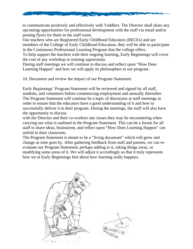

to communicate positively and effectively with Toddlers. The Director shall share any upcoming opportunities for professional development with the staff via email and/or posting flyers for them in the staff room.

Our teachers who are Registered Early Childhood Educators (RECEs) and are members of the College of Early Childhood Education, they will be able to participate in the Continuous Professional Learning Program that the college offers.

To help support the teachers with their ongoing learning, Early Beginnings will cover the cost of any workshop or training opportunity.

During staff meetings we will continue to discuss and reflect upon "How Does Learning Happen" and how we will apply its philosophies to our program.

10. Document and review the impact of our Program Statement:

Early Beginnings' Program Statement will be reviewed and signed by all staff, students, and volunteers before commencing employment and annually thereafter. The Program Statement will continue be a topic of discussion at staff meetings in order to ensure that the educators have a good understanding of it and how to successfully deliver it to their program. During the meetings, the staff will also have the opportunity to discuss

with the Director and their co-workers any issues they may be encountering when carrying out what is outlined in the Program Statement. This can be a forum for all staff to share ideas, brainstorm, and reflect upon "How Does Learning Happen" can unfold in their classroom.

The Program Statement is meant to be a "living document" which will grow and change as time goes by. After gathering feedback from staff and parents, we can reevaluate our Program Statement; perhaps adding to it, taking things away, or modifying some areas of it. We will adjust it accordingly so that it truly represents how we at Early Beginnings feel about how learning really happens.

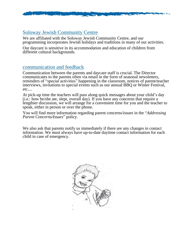

# Soloway Jewish Community Centre

We are affiliated with the Soloway Jewish Community Centre, and our programming incorporates Jewish holidays and traditions in many of our activities.

Our daycare is sensitive in its accommodation and education of children from different cultural backgrounds.

## communication and feedback

Communication between the parents and daycare staff is crucial. The Director communicates to the parents often via email in the form of seasonal newsletters, reminders of "special activities" happening in the classroom, notices of parent/teacher interviews, invitations to special events such as our annual BBQ or Winter Festival, etc....

At pick-up time the teachers will pass along quick messages about your child's day (i.e.: how he/she ate, slept, overall day). If you have any concerns that require a lengthier discussion, we will arrange for a convenient time for you and the teacher to speak, either in person or over the phone.

You will find more information regarding parent concerns/issues in the "*Addressing Parent Concerns/Issues*" policy.

We also ask that parents notify us immediately if there are any changes in contact information. We must always have up-to-date daytime contact information for each child in case of emergency.

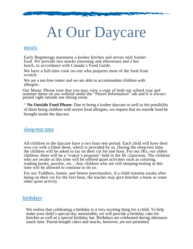# At Our Daycare

#### meals

Early Beginnings maintains a kosher kitchen and serves only kosher food. We provide two snacks (morning and afternoon) and a hot lunch, in accordance with Canada's Food Guide.

We have a full-time cook on-site who prepares most of the food from scratch.

We are a nut-free center and we are able to accommodate children with allergies.

Our Menu: Please note that you may view a copy of both our school year and summer menu on our website under the "Parent Information" tab and it is always posted right outside our dining room.

\* **No Outside Food Please**: Due to being a kosher daycare as well as the possibility of there being children with severe food allergies, we request that no outside food be brought inside the daycare.

### sleep/rest time

All children in the daycare have a two hour rest period. Each child will have their own cot with a fitted sheet, which is provided by us. During the sleep/rest time, the children will be asked to lay on their cot for one hour. For our JKs, our oldest children, there will be a "waker's program" held in the JK classroom. The children who are awake at this time will be offered quiet activities such as coloring, reading books, puzzles, etc…Any children who are still sleeping/resting at this time will be allowed to continue to do so.

For our Toddlers, Junior, and Senior preschoolers, if a child remains awake after being on their cot for the first hour, the teacher may give him/her a book or some other quiet activity.

### birthdays

We realize that celebrating a birthday is a very exciting thing for a child. To help make your child's special day memorable, we will provide a birthday cake for him/her as well as a special birthday hat. Birthdays are celebrated during afternoon snack time. Parent-bought cakes and snacks, however, are not permitted.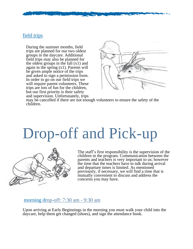# field trips

During the summer months, field trips are planned for our two oldest groups in the daycare. Additional field trips may also be planned for the oldest groups in the fall  $(x1)$  and again in the spring (x1). Parents will be given ample notice of the trips and asked to sign a permission form. In order to go on our field trips we will require parent volunteers. These trips are lots of fun for the children, but our first priority is their safety and supervision. Unfortunately, trips



may be cancelled if there are not enough volunteers to ensure the safety of the children.

# Drop-off and Pick-up



The staff's first responsibility is the supervision of the children in the program. Communication between the parents and teachers is very important to us; however the time that the teachers have to talk during arrival and departure times is limited. As mentioned previously, if necessary, we will find a time that is mutually convenient to discuss and address the concerns you may have.

#### morning drop-off: 7:30 am - 9:30 am

Upon arriving at Early Beginnings in the morning you must walk your child into the daycare, help them get changed (shoes), and sign the attendance book.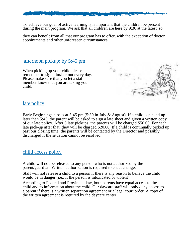

To achieve our goal of active learning is is important that the children be present during the main program. We ask that all children are here by 9:30 at the latest, so

they can benefit from all that our program has to offer, with the exception of doctor appointments and other unforeseen circumstances.

afternoon pickup: by 5:45 pm

When picking up your child please remember to sign him/her out every day. Please make sure that you let a staff member know that you are taking your child.



## late policy

Early Beginnings closes at 5:45 pm (5:30 in July & August). If a child is picked up later than 5:45, the parent will be asked to sign a late sheet and given a written copy of our late policy. After 3 late pickups, the parents will be charged \$50.00. For each late pick-up after that, they will be charged \$20.00. If a child is continually picked up past our closing time, the parents will be contacted by the Director and possibly discharged if the situation cannot be resolved.

### child access policy

A child will not be released to any person who is not authorized by the parent/guardian. Written authorization is required to enact change.

Staff will not release a child to a person if there is any reason to believe the child would be in danger (i.e.: if the person is intoxicated or violent).

According to Federal and Provincial law, both parents have equal access to the child and to information about the child. Our daycare staff will only deny access to a parent if there is a written separation agreement or a legal court order. A copy of the written agreement is required by the daycare center.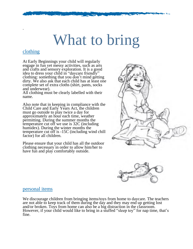# What to bring

# clothing

.

At Early Beginnings your child will regularly engage in fun yet messy activities, such as arts and crafts and sensory exploration. It is a good idea to dress your child in "daycare friendly" clothing: something that you don't mind getting dirty. We also ask that each child has at least one complete set of extra cloths (shirt, pants, socks and underwear).

All clothing must be clearly labelled with their name.

Also note that in keeping in compliance with the Child Care and Early Years Act, the children must go outside to play twice a day for approximately an hour each time, weather permitting. During the summer months the temperature cut off we use is 32C (including humidex). During the winter months the temperature cut off is -15C (including wind chill factor) for all children.

Please ensure that your child has all the outdoor clothing necessary in order to allow him/her to have fun and play comfortably outside.





#### personal items

We discourage children from bringing items/toys from home to daycare. The teachers are not able to keep track of them during the day and they may end up getting lost and/or broken. Toys from home can also be a big distraction in the classroom. However, if your child would like to bring in a stuffed "sleep toy" for nap time, that's fine.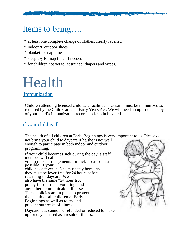# Items to bring….

- \* at least one complete change of clothes, clearly labelled
- \* indoor & outdoor shoes
- \* blanket for nap time
- \* sleep toy for nap time, if needed
- \* for children not yet toilet trained: diapers and wipes.

# Health

## Immunization

Children attending licensed child care facilities in Ontario must be immunized as required by the Child Care and Early Years Act. We will need an up-to-date copy of your child's immunization records to keep in his/her file.

# if your child is ill

The health of all children at Early Beginnings is very important to us. Please do

not bring your child to daycare if he/she is not well enough to participate in both indoor and outdoor programming.

If your child becomes sick during the day, a staff member will call you to make arrangements for pick-up as soon as possible. If your child has a fever, he/she must stay home and they must be fever-free for 24 hours before returning to daycare. We also have the same "24 hour free" policy for diarrhea, vomiting, and any other communicable illnesses. These policies are in place to protect the health of all children at Early Beginnings as well as to try and prevent outbreaks of illness.

Daycare fees cannot be refunded or reduced to make up for days missed as a result of illness.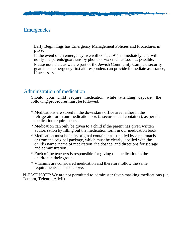# **Emergencies**

Early Beginnings has Emergency Management Policies and Procedures in place.

In the event of an emergency, we will contact 911 immediately, and will notify the parents/guardians by phone or via email as soon as possible. Please note that, as we are part of the Jewish Community Campus, security

guards and emergency first aid responders can provide immediate assistance, if necessary.

# Administration of medication

Should your child require medication while attending daycare, the following procedures must be followed:

- \* Medications are stored in the downstairs office area, either in the refrigerator or in our medication box (a secure metal container), as per the medication requirements.
- \* Medication can only be given to a child if the parent has given written authorization by filling out the medication form in our medication book.
- \* Medication must be in its original container as supplied by a pharmacist or from the original package, which must be clearly labelled with the child's name, name of medication, the dosage, and directions for storage and administration.
- \* Each of the teachers is responsible for giving the medication to the children in their group.
- \* Vitamins are considered medication and therefore follow the same requirements as listed above.

PLEASE NOTE: We are not permitted to administer fever-masking medications (i.e. Tempra, Tylenol, Advil)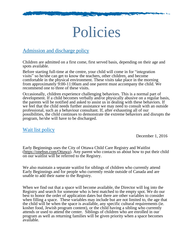# Policies

# Admission and discharge policy

Children are admitted on a first come, first served basis, depending on their age and spots available.

Before starting full-time at the centre, your child will come in for "integration visits" so he/she can get to know the teachers, other children, and become comfortable in the physical environment. These visits take place in the morning from approximately 9:00-11:00am and one parent must accompany the child. We recommend one to three of these visits.

Occasionally, children experience challenging behaviors. This is a normal part of development. If a child becomes verbally and/or physically abusive on a regular basis, the parents will be notified and asked to assist us in dealing with these behaviors. If we feel that the child needs further assistance we may need to consult with an outside professional, such as a behaviour consultant. If, after exhausting all of our possibilities, the child continues to demonstrate the extreme behaviors and disrupts the program, he/she will have to be discharged.

# Wait list policy

December 1, 2016

Early Beginnings uses the City of Ottawa Child Care Registry and Waitlist (https://onehsn.com/Ottawa). Any parent who contacts us about how to put their child on our waitlist will be referred to the Registry.

We also maintain a separate waitlist for siblings of children who currently attend Early Beginnings and for people who currently reside outside of Canada and are unable to add their name to the Registry.

When we find out that a space will become available, the Director will log into the Registry and search for someone who is best matched to the empty spot. We do our best to honor the order of application dates but there are other variables to consider when filling a space. These variables may include but are not limited to, the age that the child will be when the space is available, any specific cultural requirements (ie. kosher food, Jewish program content), or the child having a sibling who currently attends or used to attend the center. Siblings of children who are enrolled in our program as well as returning families will be given priority when a space becomes available.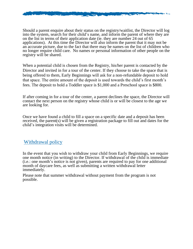

Should a parent enquire about their status on the registry/waitlist, the Director will log into the system, search for their child's name, and inform the parent of where they are on the list in terms of their application date (ie. they are number 24 out of 65 applications). At this time the Director will also inform the parent that it may not be an accurate picture, due to the fact that there may be names on the list of children who no longer require child care. No names or personal information of other people on the registry will be shared.

When a potential child is chosen from the Registry, his/her parent is contacted by the Director and invited in for a tour of the center. If they choose to take the space that is being offered to them, Early Beginnings will ask for a non-refundable deposit to hold that space. The entire amount of the deposit is used towards the child's first month's fees. The deposit to hold a Toddler space is \$1,000 and a Preschool space is \$800.

If after coming in for a tour of the center, a parent declines the space, the Director will contact the next person on the registry whose child is or will be closest to the age we are looking for.

Once we have found a child to fill a space on a specific date and a deposit has been received, the parent(s) will be given a registration package to fill out and dates for the child's integration visits will be determined.

### Withdrawal policy

In the event that you wish to withdraw your child from Early Beginnings, we require one month notice (in writing) to the Director. If withdrawal of the child is immediate (i.e.: one month's notice is not given), parents are required to pay for one additional month of daycare fees, as well as submitting a written withdrawal letter immediately.

Please note that summer withdrawal without payment from the program is not possible.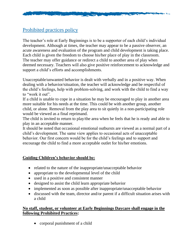

# Prohibited practices policy

The teacher's role at Early Beginnings is to be a supporter of each child's individual development. Although at times, the teacher may appear to be a passive observer, an acute awareness and evaluation of the program and child development is taking place. Each child is given the freedom to choose his/her place of play in the classroom. The teacher may offer guidance or redirect a child to another area of play when deemed necessary. Teachers will also give positive reinforcement to acknowledge and support a child's efforts and accomplishments.

Unacceptable/unwanted behavior is dealt with verbally and in a positive way. When dealing with a behavior/situation, the teacher will acknowledge and be respectful of the child's feelings, help with problem-solving, and work with the child to find a way to "work it out".

If a child is unable to cope in a situation he may be encouraged to play in another area more suitable for his needs at the time. This could be with another group, another child, or alone. Removal from the play area to sit quietly in a non-participating role would be viewed as a final reprimand.

The child is invited to return to play/the area when he feels that he is ready and able to play in an acceptable manner.

It should be noted that occasional emotional outbursts are viewed as a normal part of a child's development. The same view applies to occasional acts of unacceptable behavior. Our first concern would be for the child's feelings and to support and encourage the child to find a more acceptable outlet for his/her emotions.

### **Guiding Children's behavior should be:**

- related to the nature of the inappropriate/unacceptable behavior
- appropriate to the developmental level of the child
- used in a positive and consistent manner
- designed to assist the child learn appropriate behavior
- implemented as soon as possible after inappropriate/unacceptable behavior
- discussed with the team, director and/or parent if a difficult situation arises with a child

### **No staff, student, or volunteer at Early Beginnings Daycare shall engage in the following Prohibited Practices:**

• corporal punishment of a child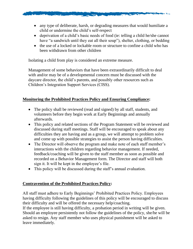

- deprivation of a child's basic needs of food (ie: telling a child he/she cannot have "a sandwich until they eat all their soup"), shelter, clothing, or bedding
- the use of a locked or lockable room or structure to confine a child who has been withdrawn from other children

Isolating a child from play is considered an extreme measure.

Management of some behaviors that have been extraordinarily difficult to deal with and/or may be of a developmental concern must be discussed with the daycare director, the child's parents, and possibly other resources such as Children's Integration Support Services (CISS).

### **Monitoring the Prohibited Practices Policy and Ensuring Compliance:**

- The policy shall be reviewed (read and signed) by all staff, students, and volunteers before they begin work at Early Beginnings and annually afterwards.
- This policy and related sections of the Program Statement will be reviewed and discussed during staff meetings. Staff will be encouraged to speak about any difficulties they are having and as a group, we will attempt to problem solve and come up with possible strategies to assist the person having difficulties.
- The Director will observe the program and make note of each staff member's interactions with the children regarding behavior management. If needed, feedback/coaching will be given to the staff member as soon as possible and recorded on a Behavior Management form. The Director and staff will both sign it. It will be kept in the employee's file.
- This policy will be discussed during the staff's annual evaluation.

#### **Contravention of the Prohibited Practices Policy:**

All staff must adhere to Early Beginnings' Prohibited Practices Policy. Employees having difficulty following the guidelines of this policy will be encouraged to discuss their difficulty and will be offered the necessary help/coaching.

If the employee is still having difficulty, a probation period in writing will be given. Should an employee persistently not follow the guidelines of the policy, she/he will be asked to resign. Any staff member who uses physical punishment will be asked to leave immediately.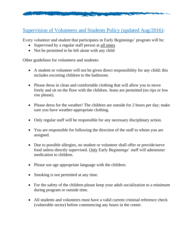

# Supervision of Volunteers and Students Policy (updated Aug/2016):

Every volunteer and student that participates in Early Beginnings' program will be:

- Supervised by a regular staff person at *all times*
- Not be permitted to be left alone with any child

Other guidelines for volunteers and students:

- A student or volunteer will not be given direct responsibility for any child; this includes escorting children to the bathroom.
- Please dress in clean and comfortable clothing that will allow you to move freely and sit on the floor with the children. Jeans are permitted (no rips or low rise please).
- Please dress for the weather! The children are outside for 2 hours per day; make sure you have weather-appropriate clothing.
- Only regular staff will be responsible for any necessary disciplinary action.
- You are responsible for following the direction of the staff to whom you are assigned.
- Due to possible allergies, no student or volunteer shall offer or provide/serve food unless directly supervised. Only Early Beginnings' staff will administer medication to children.
- Please use age appropriate language with the children.
- Smoking is not permitted at any time.
- For the safety of the children please keep your adult socialization to a minimum during program or outside time.
- All students and volunteers must have a valid current criminal reference check (vulnerable sector) before commencing any hours in the center.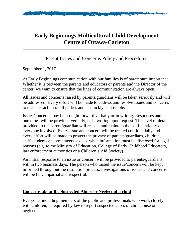

# **Early Beginnings Multicultural Child Development Centre of Ottawa-Carleton**

# Parent Issues and Concerns Policy and Procedures

### September 1, 2017

At Early Beginnings communication with our families is of paramount importance. Whether it is between the parents and educators or parents and the Director of the center, we want to ensure that the lines of communication are always open.

All issues and concerns raised by parents/guardians will be taken seriously and will be addressed. Every effort will be made to address and resolve issues and concerns to the satisfaction of all parties and as quickly as possible.

Issues/concerns may be brought forward verbally or in writing. Responses and outcomes will be provided verbally, or in writing upon request. The level of detail provided to the parent/guardian will respect and maintain the confidentiality of everyone involved. Every issue and concern will be treated confidentially and every effort will be made to protect the privacy of parents/guardians, children, staff, students and volunteers, except when information must be disclosed for legal reasons (e.g. to the Ministry of Education, College of Early Childhood Educators, law enforcement authorities or a Children's Aid Society).

An initial response to an issue or concern will be provided to parents/guardians within two business days. The person who raised the issue/concern will be kept informed throughout the resolution process. Investigations of issues and concerns will be fair, impartial and respectful.

### **Concerns about the Suspected Abuse or Neglect of a child**

Everyone, including members of the public and professionals who work closely with children, is required by law to report suspected cases of child abuse or neglect.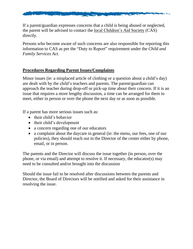

If a parent/guardian expresses concerns that a child is being abused or neglected, the parent will be advised to contact the local [Children's](http://www.children.gov.on.ca/htdocs/English/childrensaid/reportingabuse/CASLocations.aspx) Aid Society (CAS) directly.

Persons who become aware of such concerns are also responsible for reporting this information to CAS as per the "Duty to Report" requirement under the *Child and Family Services Act*.

## **Procedures Regarding Parent Issues/Complaints**

Minor issues (ie: a misplaced article of clothing or a question about a child's day) are dealt with by the child's teachers and parents. The parent/guardian can approach the teacher during drop-off or pick-up time about their concern. If it is an issue that requires a more lengthy discussion, a time can be arranged for them to meet, either in person or over the phone the next day or as soon as possible.

If a parent has more serious issues such as:

- their child's behavior
- their child's development
- a concern regarding one of our educators
- a complaint about the daycare in general (ie: the menu, our fees, one of our policies), they should reach out to the Director of the center either by phone, email, or in person.

The parents and the Director will discuss the issue together (in person, over the phone, or via email) and attempt to resolve it. If necessary, the educator(s) may need to be consulted and/or brought into the discussion

Should the issue fail to be resolved after discussions between the parents and Director, the Board of Directors will be notified and asked for their assistance in resolving the issue.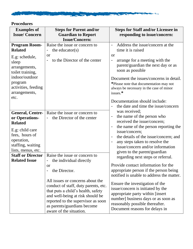

# **Procedures**

| <b>Examples of</b>                                                                                                                                                                  | <b>Steps for Parent and/or</b>                                                                                                                                                                                                                                                              | <b>Steps for Staff and/or Licensee in</b>                                                                                                                                                                                                                                                                                                                                                                                                                                                                                                                                                                                                                                                                                                                                                                                                                                                                                                                                                                                                                              |
|-------------------------------------------------------------------------------------------------------------------------------------------------------------------------------------|---------------------------------------------------------------------------------------------------------------------------------------------------------------------------------------------------------------------------------------------------------------------------------------------|------------------------------------------------------------------------------------------------------------------------------------------------------------------------------------------------------------------------------------------------------------------------------------------------------------------------------------------------------------------------------------------------------------------------------------------------------------------------------------------------------------------------------------------------------------------------------------------------------------------------------------------------------------------------------------------------------------------------------------------------------------------------------------------------------------------------------------------------------------------------------------------------------------------------------------------------------------------------------------------------------------------------------------------------------------------------|
| <b>Issue/Concern</b>                                                                                                                                                                | <b>Guardian to Report</b><br><b>Issue/Concern:</b>                                                                                                                                                                                                                                          | responding to issue/concern:                                                                                                                                                                                                                                                                                                                                                                                                                                                                                                                                                                                                                                                                                                                                                                                                                                                                                                                                                                                                                                           |
| <b>Program Room-</b><br><b>Related</b><br>E.g: schedule,<br>sleep<br>arrangements,<br>toilet training,<br>indoor/outdoor<br>program<br>activities, feeding<br>arrangements,<br>etc. | Raise the issue or concern to<br>the educator( $s$ )<br>0r<br>to the Director of the center                                                                                                                                                                                                 | Address the issue/concern at the<br>$\overline{\phantom{a}}$<br>time it is raised<br><b>or</b><br>arrange for a meeting with the<br>-<br>parent/guardian the next day or as<br>soon as possible<br>Document the issues/concerns in detail.<br>*Please note that documentation may not<br>always be necessary in the case of minor<br>issues.*<br>Documentation should include:<br>the date and time the issue/concern<br>was received;<br>the name of the person who<br>$\blacksquare$<br>received the issue/concern;<br>the name of the person reporting the<br>$\blacksquare$<br>issue/concern;<br>the details of the issue/concern; and<br>any steps taken to resolve the<br>issue/concern and/or information<br>given to the parent/guardian<br>regarding next steps or referral.<br>Provide contact information for the<br>appropriate person if the person being<br>notified is unable to address the matter.<br>Ensure the investigation of the<br>issue/concern is initiated by the<br>appropriate party within [insert<br>number] business days or as soon as |
| <b>General, Centre-</b><br>or Operations-<br><b>Related</b><br>E.g: child care<br>fees, hours of<br>operation,<br>staffing, waiting<br>lists, menus, etc.                           | Raise the issue or concern to<br>the Director of the center                                                                                                                                                                                                                                 |                                                                                                                                                                                                                                                                                                                                                                                                                                                                                                                                                                                                                                                                                                                                                                                                                                                                                                                                                                                                                                                                        |
| <b>Staff or Director</b><br><b>Related Issue</b>                                                                                                                                    | Raise the issue or concern to<br>the individual directly<br>-<br><sub>or</sub><br>the Director.<br>All issues or concerns about the<br>conduct of staff, duty parents, etc.<br>that puts a child's health, safety<br>and well-being at risk should be<br>reported to the supervisor as soon |                                                                                                                                                                                                                                                                                                                                                                                                                                                                                                                                                                                                                                                                                                                                                                                                                                                                                                                                                                                                                                                                        |
|                                                                                                                                                                                     | as parents/guardians become<br>aware of the situation.                                                                                                                                                                                                                                      | reasonably possible thereafter.<br>Document reasons for delays in                                                                                                                                                                                                                                                                                                                                                                                                                                                                                                                                                                                                                                                                                                                                                                                                                                                                                                                                                                                                      |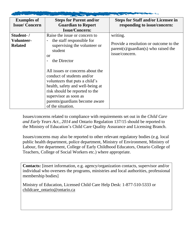| the country of the control of the control of the control of the control of the control of the control of the control of |                                                                                                                                                                                                                                                        |                                                                                                    |  |
|-------------------------------------------------------------------------------------------------------------------------|--------------------------------------------------------------------------------------------------------------------------------------------------------------------------------------------------------------------------------------------------------|----------------------------------------------------------------------------------------------------|--|
| <b>Examples of</b>                                                                                                      | <b>Steps for Parent and/or</b>                                                                                                                                                                                                                         | <b>Steps for Staff and/or Licensee in</b>                                                          |  |
| <b>Issue/Concern</b>                                                                                                    | <b>Guardian to Report</b>                                                                                                                                                                                                                              | responding to issue/concern:                                                                       |  |
|                                                                                                                         | <b>Issue/Concern:</b>                                                                                                                                                                                                                                  |                                                                                                    |  |
| Student-/                                                                                                               | Raise the issue or concern to                                                                                                                                                                                                                          | writing.                                                                                           |  |
| Volunteer-                                                                                                              | the staff responsible for                                                                                                                                                                                                                              |                                                                                                    |  |
| <b>Related</b>                                                                                                          | supervising the volunteer or                                                                                                                                                                                                                           | Provide a resolution or outcome to the<br>$parent(s)/quantian(s)$ who raised the<br>issue/concern. |  |
|                                                                                                                         | student                                                                                                                                                                                                                                                |                                                                                                    |  |
|                                                                                                                         | or                                                                                                                                                                                                                                                     |                                                                                                    |  |
|                                                                                                                         | the Director                                                                                                                                                                                                                                           |                                                                                                    |  |
|                                                                                                                         | All issues or concerns about the<br>conduct of students and/or<br>volunteers that puts a child's<br>health, safety and well-being at<br>risk should be reported to the<br>supervisor as soon as<br>parents/guardians become aware<br>of the situation. |                                                                                                    |  |

Issues/concerns related to compliance with requirements set out in the *Child Care and Early Years Act., 2014* and Ontario Regulation 137/15 should be reported to the Ministry of Education's Child Care Quality Assurance and Licensing Branch.

Issues/concerns may also be reported to other relevant regulatory bodies (e.g. local public health department, police department, Ministry of Environment, Ministry of Labour, fire department, College of Early Childhood Educators, Ontario College of Teachers, College of Social Workers etc.) where appropriate.

**Contacts:** [insert information, e.g. agency/organization contacts, supervisor and/or individual who oversees the programs, ministries and local authorities, professional membership bodies]

Ministry of Education, Licensed Child Care Help Desk: 1-877-510-5333 or [childcare\\_ontario@ontario.ca](mailto:childcare_ontario@ontario.ca)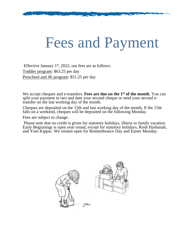# Fees and Payment

Effective January  $1<sup>st</sup>$ , 2022, our fees are as follows: Toddler program: \$63.25 per day Preschool and JK program: \$51.25 per day

We accept cheques and e-transfers. **Fees are due on the 1 st of the month**. You can split your payment in two and date your second cheque or send your second etransfer on the last working day of the month.

Cheques are deposited on the 15th and last working day of the month. If the 15th falls on a weekend, cheques will be deposited on the following Monday.

Fees are subject to change.

Please note that no credit is given for statutory holidays, illness or family vacation. Early Beginnings is open year round, except for statutory holidays, Rosh Hashanah, and Yom Kippur. We remain open for Remembrance Day and Easter Monday.